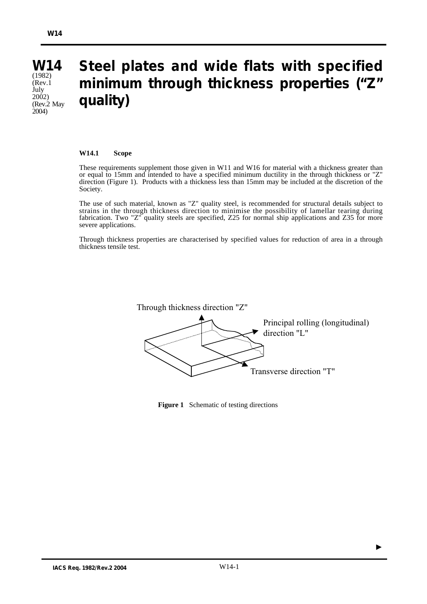#### **W14** (1982)  $(Rev.1)$ July 2002) (Rev.2 May  $2004)$ **Steel plates and wide flats with specified minimum through thickness properties ("Z" quality)**

#### **W14.1 Scope**

These requirements supplement those given in W11 and W16 for material with a thickness greater than or equal to 15mm and intended to have a specified minimum ductility in the through thickness or "Z" direction (Figure 1). Products with a thickness less than 15mm may be included at the discretion of the Society.

The use of such material, known as "Z" quality steel, is recommended for structural details subject to strains in the through thickness direction to minimise the possibility of lamellar tearing during fabrication. Two "Z" quality steels are specified, Z25 for normal ship applications and Z35 for more severe applications.

Through thickness properties are characterised by specified values for reduction of area in a through thickness tensile test.



**Figure 1** Schematic of testing directions

▲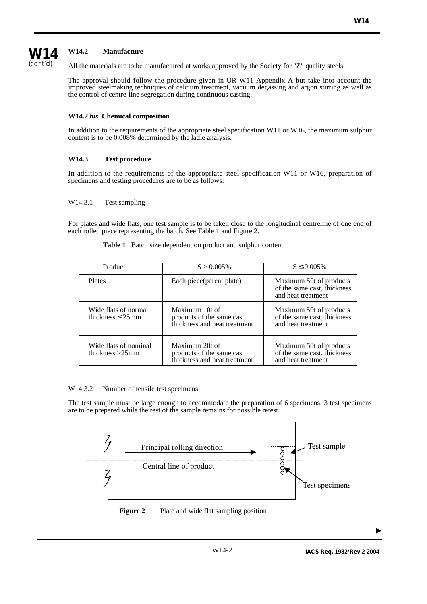# **W14** (cont'd)

# **W14.2 Manufacture**

All the materials are to be manufactured at works approved by the Society for "Z" quality steels.

The approval should follow the procedure given in UR W11 Appendix A but take into account the improved steelmaking techniques of calcium treatment, vacuum degassing and argon stirring as well as the control of centre-line segregation during continuous casting.

# **W14.2** *bis* **Chemical composition**

In addition to the requirements of the appropriate steel specification W11 or W16, the maximum sulphur content is to be 0.008% determined by the ladle analysis.

# **W14.3 Test procedure**

In addition to the requirements of the appropriate steel specification W11 or W16, preparation of specimens and testing procedures are to be as follows:

### W14.3.1 Test sampling

For plates and wide flats, one test sample is to be taken close to the longitudinal centreline of one end of each rolled piece representing the batch. See Table 1 and Figure 2.

| Product                                       | $S > 0.005\%$                                                                | $S \le 0.005\%$                                                              |
|-----------------------------------------------|------------------------------------------------------------------------------|------------------------------------------------------------------------------|
| <b>Plates</b>                                 | Each piece (parent plate)                                                    | Maximum 50t of products<br>of the same cast, thickness<br>and heat treatment |
| Wide flats of normal<br>thickness $\leq$ 25mm | Maximum 10t of<br>products of the same cast,<br>thickness and heat treatment | Maximum 50t of products<br>of the same cast, thickness<br>and heat treatment |
| Wide flats of nominal<br>thickness $>25$ mm   | Maximum 20t of<br>products of the same cast,<br>thickness and heat treatment | Maximum 50t of products<br>of the same cast, thickness<br>and heat treatment |

**Table 1** Batch size dependent on product and sulphur content

#### W14.3.2 Number of tensile test specimens

The test sample must be large enough to accommodate the preparation of 6 specimens. 3 test specimens are to be prepared while the rest of the sample remains for possible retest.





 $\blacksquare$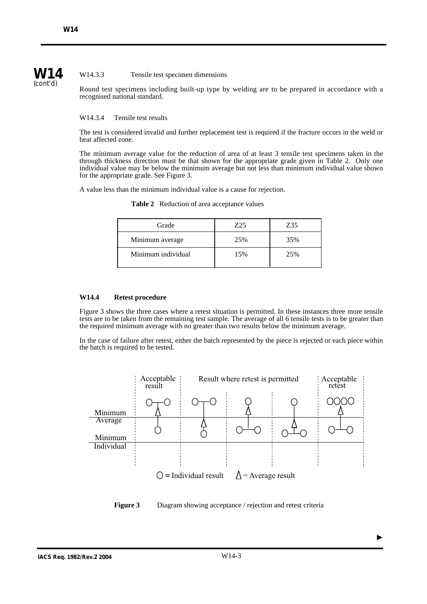**W14** (cont'd)

## W14.3.3 Tensile test specimen dimensions

Round test specimens including built-up type by welding are to be prepared in accordance with a recognised national standard.

W14.3.4 Tensile test results

The test is considered invalid and further replacement test is required if the fracture occurs in the weld or heat affected zone.

The minimum average value for the reduction of area of at least 3 tensile test specimens taken in the through thickness direction must be that shown for the appropriate grade given in Table 2. Only one individual value may be below the minimum average but not less than minimum individual value shown for the appropriate grade. See Figure 3.

A value less than the minimum individual value is a cause for rejection.

**Table 2** Reduction of area acceptance values

| Grade              | 725 | Z35 |
|--------------------|-----|-----|
| Minimum average    | 25% | 35% |
| Minimum individual | 15% | 25% |

### **W14.4 Retest procedure**

Figure 3 shows the three cases where a retest situation is permitted. In these instances three more tensile tests are to be taken from the remaining test sample. The average of all 6 tensile tests is to be greater than the required minimum average with no greater than two results below the minimum average.

In the case of failure after retest, either the batch represented by the piece is rejected or each piece within the batch is required to be tested.